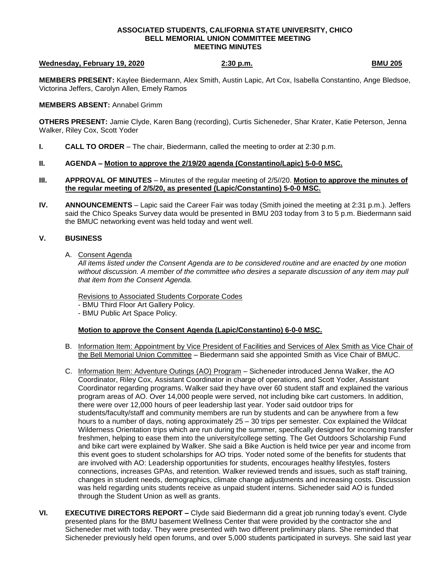### **ASSOCIATED STUDENTS, CALIFORNIA STATE UNIVERSITY, CHICO BELL MEMORIAL UNION COMMITTEE MEETING MEETING MINUTES**

### **Wednesday, February 19, 2020** 2:30 p.m. **BMU 205 BMU 205**

**MEMBERS PRESENT:** Kaylee Biedermann, Alex Smith, Austin Lapic, Art Cox, Isabella Constantino, Ange Bledsoe, Victorina Jeffers, Carolyn Allen, Emely Ramos

**MEMBERS ABSENT:** Annabel Grimm

**OTHERS PRESENT:** Jamie Clyde, Karen Bang (recording), Curtis Sicheneder, Shar Krater, Katie Peterson, Jenna Walker, Riley Cox, Scott Yoder

- **I. CALL TO ORDER**  The chair, Biedermann, called the meeting to order at 2:30 p.m.
- **II. AGENDA – Motion to approve the 2/19/20 agenda (Constantino/Lapic) 5-0-0 MSC.**
- **III. APPROVAL OF MINUTES** Minutes of the regular meeting of 2/5//20. **Motion to approve the minutes of the regular meeting of 2/5/20, as presented (Lapic/Constantino) 5-0-0 MSC.**
- **IV. ANNOUNCEMENTS** Lapic said the Career Fair was today (Smith joined the meeting at 2:31 p.m.). Jeffers said the Chico Speaks Survey data would be presented in BMU 203 today from 3 to 5 p.m. Biedermann said the BMUC networking event was held today and went well.

# **V. BUSINESS**

A. Consent Agenda

*All items listed under the Consent Agenda are to be considered routine and are enacted by one motion without discussion. A member of the committee who desires a separate discussion of any item may pull that item from the Consent Agenda.*

Revisions to Associated Students Corporate Codes

- BMU Third Floor Art Gallery Policy.

- BMU Public Art Space Policy.

# **Motion to approve the Consent Agenda (Lapic/Constantino) 6-0-0 MSC.**

- B. Information Item: Appointment by Vice President of Facilities and Services of Alex Smith as Vice Chair of the Bell Memorial Union Committee – Biedermann said she appointed Smith as Vice Chair of BMUC.
- C. Information Item: Adventure Outings (AO) Program Sicheneder introduced Jenna Walker, the AO Coordinator, Riley Cox, Assistant Coordinator in charge of operations, and Scott Yoder, Assistant Coordinator regarding programs. Walker said they have over 60 student staff and explained the various program areas of AO. Over 14,000 people were served, not including bike cart customers. In addition, there were over 12,000 hours of peer leadership last year. Yoder said outdoor trips for students/faculty/staff and community members are run by students and can be anywhere from a few hours to a number of days, noting approximately 25 – 30 trips per semester. Cox explained the Wildcat Wilderness Orientation trips which are run during the summer, specifically designed for incoming transfer freshmen, helping to ease them into the university/college setting. The Get Outdoors Scholarship Fund and bike cart were explained by Walker. She said a Bike Auction is held twice per year and income from this event goes to student scholarships for AO trips. Yoder noted some of the benefits for students that are involved with AO: Leadership opportunities for students, encourages healthy lifestyles, fosters connections, increases GPAs, and retention. Walker reviewed trends and issues, such as staff training, changes in student needs, demographics, climate change adjustments and increasing costs. Discussion was held regarding units students receive as unpaid student interns. Sicheneder said AO is funded through the Student Union as well as grants.
- **VI. EXECUTIVE DIRECTORS REPORT –** Clyde said Biedermann did a great job running today's event. Clyde presented plans for the BMU basement Wellness Center that were provided by the contractor she and Sicheneder met with today. They were presented with two different preliminary plans. She reminded that Sicheneder previously held open forums, and over 5,000 students participated in surveys. She said last year